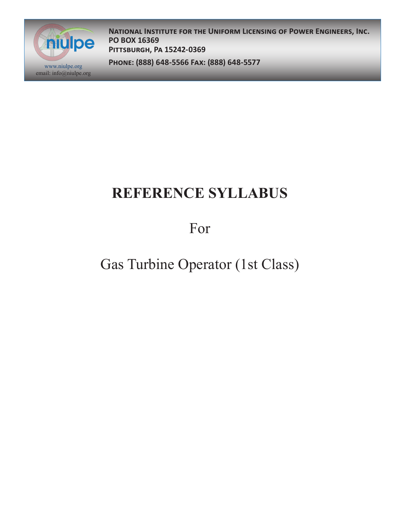

**National Institute for the Uniform Licensing of Power Engineers, Inc. PO BOX 16369 Pittsburgh, Pa 15242-0369**

**Phone: (888) 648-5566 Fax: (888) 648-5577** www.niulpe.org

# **REFERENCE SYLLABUS**

For

Gas Turbine Operator (1st Class)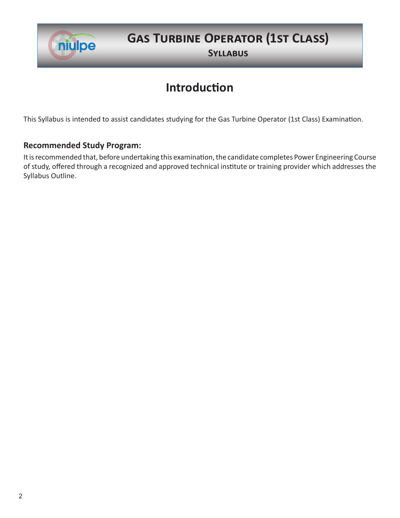

### **Gas Turbine Operator (1st Class)**

**Syllabus**

### **Introduction**

This Syllabus is intended to assist candidates studying for the Gas Turbine Operator (1st Class) Examination.

#### **Recommended Study Program:**

It is recommended that, before undertaking this examination, the candidate completes Power Engineering Course of study, offered through a recognized and approved technical institute or training provider which addresses the Syllabus Outline.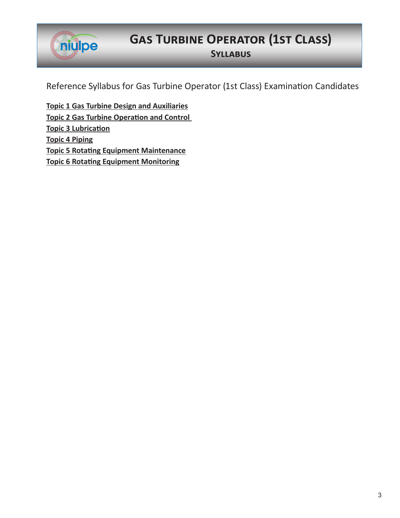

## **Gas Turbine Operator (1st Class)**

**Syllabus**

Reference Syllabus for Gas Turbine Operator (1st Class) Examination Candidates

**Topic 1 Gas Turbine Design and Auxiliaries Topic 2 Gas Turbine Operation and Control Topic 3 Lubrication Topic 4 Piping Topic 5 Rotating Equipment Maintenance Topic 6 Rotating Equipment Monitoring**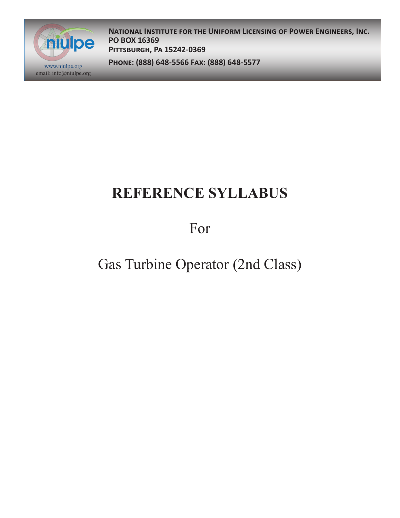

**National Institute for the Uniform Licensing of Power Engineers, Inc. PO BOX 16369 Pittsburgh, Pa 15242-0369**

**Phone: (888) 648-5566 Fax: (888) 648-5577** www.niulpe.org

# **REFERENCE SYLLABUS**

For

## Gas Turbine Operator (2nd Class)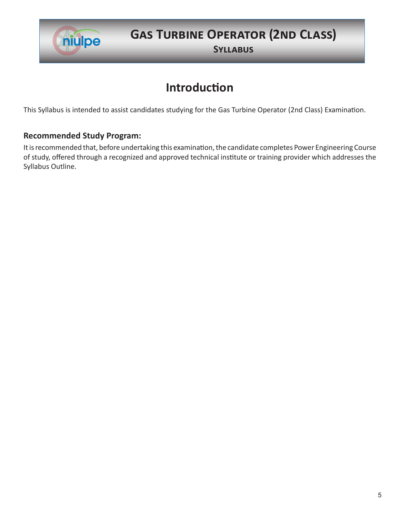

### **Gas Turbine Operator (2nd Class)**

**Syllabus**

### **Introduction**

This Syllabus is intended to assist candidates studying for the Gas Turbine Operator (2nd Class) Examination.

#### **Recommended Study Program:**

It is recommended that, before undertaking this examination, the candidate completes Power Engineering Course of study, offered through a recognized and approved technical institute or training provider which addresses the Syllabus Outline.